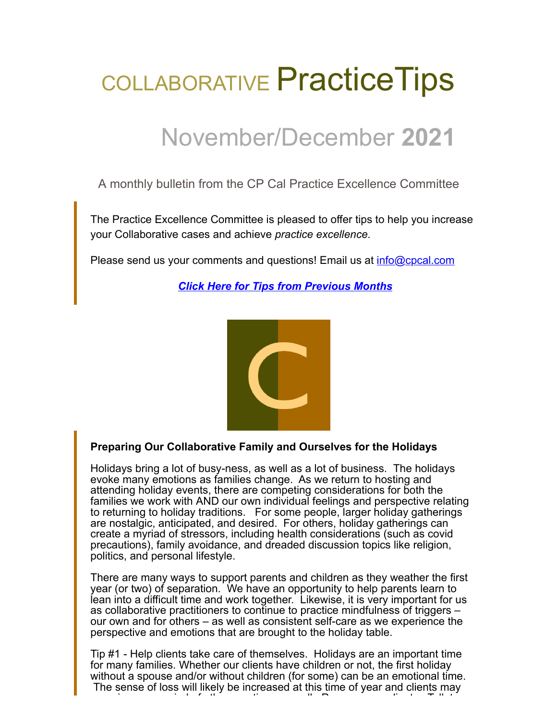# COLLABORATIVE Practice Tips

# November/December **2021**

A monthly bulletin from the CP Cal Practice Excellence Committee

The Practice Excellence Committee is pleased to offer tips to help you increase your Collaborative cases and achieve *practice excellence.*

Please send us your comments and questions! Email us at [info@cpcal.com](mailto:info@cpcal.com)

*[Click Here for Tips from Previous Months](https://www.cpcal.com/resources/practice-tips-newsletter/)*



## **Preparing Our Collaborative Family and Ourselves for the Holidays**

Holidays bring a lot of busy-ness, as well as a lot of business. The holidays evoke many emotions as families change. As we return to hosting and attending holiday events, there are competing considerations for both the families we work with AND our own individual feelings and perspective relating to returning to holiday traditions. For some people, larger holiday gatherings are nostalgic, anticipated, and desired. For others, holiday gatherings can create a myriad of stressors, including health considerations (such as covid precautions), family avoidance, and dreaded discussion topics like religion, politics, and personal lifestyle.

There are many ways to support parents and children as they weather the first year (or two) of separation. We have an opportunity to help parents learn to lean into a difficult time and work together. Likewise, it is very important for us as collaborative practitioners to continue to practice mindfulness of triggers – our own and for others – as well as consistent self-care as we experience the perspective and emotions that are brought to the holiday table.

Tip #1 - Help clients take care of themselves. Holidays are an important time for many families. Whether our clients have children or not, the first holiday without a spouse and/or without children (for some) can be an emotional time. The sense of loss will likely be increased at this time of year and clients may i i d'an ti le chantair an t-ainm an t-ainm an t-ainm an t-ainm an t-ainm an t-ainm an t-ainm an t-ainm an t-a<br>T-ainm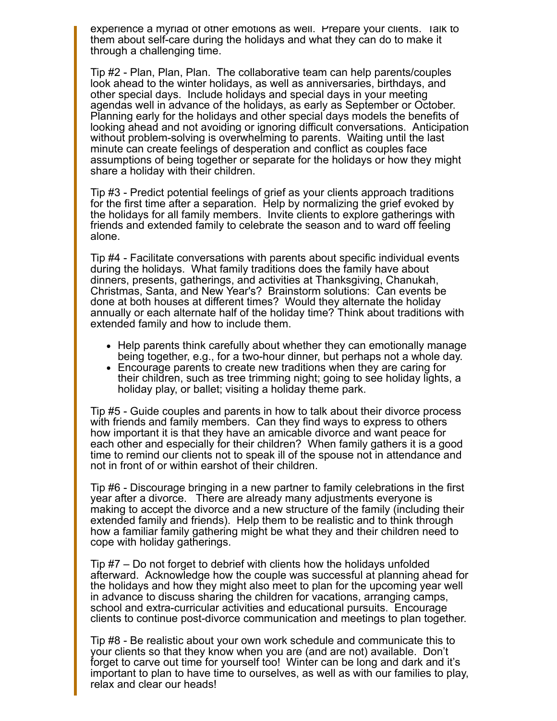experience a myriad of other emotions as well. Prepare your clients. Talk to them about self-care during the holidays and what they can do to make it through a challenging time.

Tip #2 - Plan, Plan, Plan. The collaborative team can help parents/couples look ahead to the winter holidays, as well as anniversaries, birthdays, and other special days. Include holidays and special days in your meeting agendas well in advance of the holidays, as early as September or October. Planning early for the holidays and other special days models the benefits of looking ahead and not avoiding or ignoring difficult conversations. Anticipation without problem-solving is overwhelming to parents. Waiting until the last minute can create feelings of desperation and conflict as couples face assumptions of being together or separate for the holidays or how they might share a holiday with their children.

Tip #3 - Predict potential feelings of grief as your clients approach traditions for the first time after a separation. Help by normalizing the grief evoked by the holidays for all family members. Invite clients to explore gatherings with friends and extended family to celebrate the season and to ward off feeling alone.

Tip #4 - Facilitate conversations with parents about specific individual events during the holidays. What family traditions does the family have about dinners, presents, gatherings, and activities at Thanksgiving, Chanukah, Christmas, Santa, and New Year's? Brainstorm solutions: Can events be done at both houses at different times? Would they alternate the holiday annually or each alternate half of the holiday time? Think about traditions with extended family and how to include them.

- Help parents think carefully about whether they can emotionally manage being together, e.g., for a two-hour dinner, but perhaps not a whole day.
- Encourage parents to create new traditions when they are caring for their children, such as tree trimming night; going to see holiday lights, a holiday play, or ballet; visiting a holiday theme park.

Tip #5 - Guide couples and parents in how to talk about their divorce process with friends and family members. Can they find ways to express to others how important it is that they have an amicable divorce and want peace for each other and especially for their children? When family gathers it is a good time to remind our clients not to speak ill of the spouse not in attendance and not in front of or within earshot of their children.

Tip #6 - Discourage bringing in a new partner to family celebrations in the first year after a divorce. There are already many adjustments everyone is making to accept the divorce and a new structure of the family (including their extended family and friends). Help them to be realistic and to think through how a familiar family gathering might be what they and their children need to cope with holiday gatherings.

Tip #7 – Do not forget to debrief with clients how the holidays unfolded afterward. Acknowledge how the couple was successful at planning ahead for the holidays and how they might also meet to plan for the upcoming year well in advance to discuss sharing the children for vacations, arranging camps, school and extra-curricular activities and educational pursuits. Encourage clients to continue post-divorce communication and meetings to plan together.

Tip #8 - Be realistic about your own work schedule and communicate this to your clients so that they know when you are (and are not) available. Don't forget to carve out time for yourself too! Winter can be long and dark and it's important to plan to have time to ourselves, as well as with our families to play, relax and clear our heads!